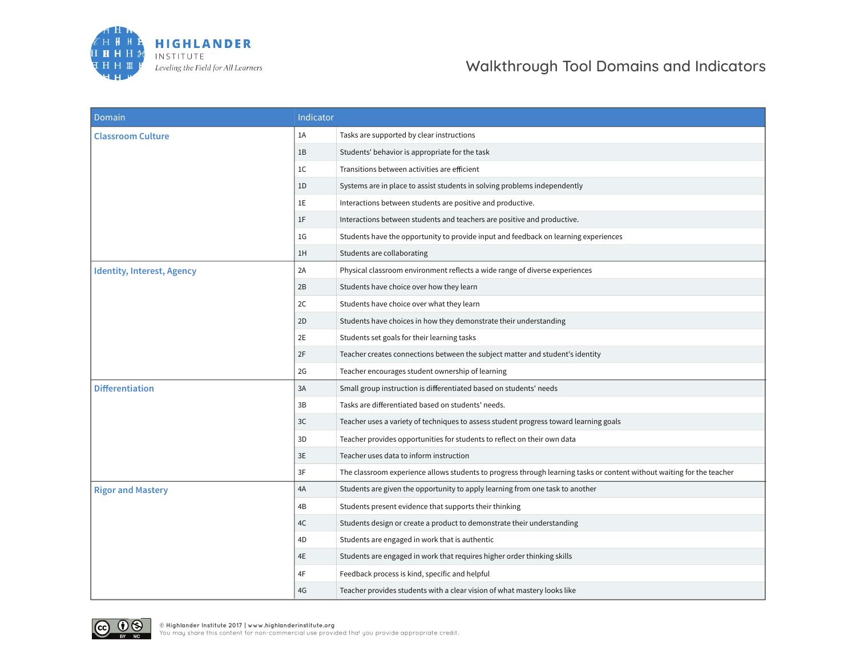

| Domain                            | Indicator      |                                                                                                                        |
|-----------------------------------|----------------|------------------------------------------------------------------------------------------------------------------------|
| <b>Classroom Culture</b>          | 1A             | Tasks are supported by clear instructions                                                                              |
|                                   | 1B             | Students' behavior is appropriate for the task                                                                         |
|                                   | 1 <sup>C</sup> | Transitions between activities are efficient                                                                           |
|                                   | 1D             | Systems are in place to assist students in solving problems independently                                              |
|                                   | 1E             | Interactions between students are positive and productive.                                                             |
|                                   | 1F             | Interactions between students and teachers are positive and productive.                                                |
|                                   | 1 <sub>G</sub> | Students have the opportunity to provide input and feedback on learning experiences                                    |
|                                   | 1H             | Students are collaborating                                                                                             |
| <b>Identity, Interest, Agency</b> | 2A             | Physical classroom environment reflects a wide range of diverse experiences                                            |
|                                   | 2B             | Students have choice over how they learn                                                                               |
|                                   | 2C             | Students have choice over what they learn                                                                              |
|                                   | 2D             | Students have choices in how they demonstrate their understanding                                                      |
|                                   | 2E             | Students set goals for their learning tasks                                                                            |
|                                   | 2F             | Teacher creates connections between the subject matter and student's identity                                          |
|                                   | 2G             | Teacher encourages student ownership of learning                                                                       |
| <b>Differentiation</b>            | 3A             | Small group instruction is differentiated based on students' needs                                                     |
|                                   | 3B             | Tasks are differentiated based on students' needs.                                                                     |
|                                   | 3C             | Teacher uses a variety of techniques to assess student progress toward learning goals                                  |
|                                   | 3D             | Teacher provides opportunities for students to reflect on their own data                                               |
|                                   | 3E             | Teacher uses data to inform instruction                                                                                |
|                                   | 3F             | The classroom experience allows students to progress through learning tasks or content without waiting for the teacher |
| <b>Rigor and Mastery</b>          | 4A             | Students are given the opportunity to apply learning from one task to another                                          |
|                                   | 4B             | Students present evidence that supports their thinking                                                                 |
|                                   | 4C             | Students design or create a product to demonstrate their understanding                                                 |
|                                   | 4D             | Students are engaged in work that is authentic                                                                         |
|                                   | 4E             | Students are engaged in work that requires higher order thinking skills                                                |
|                                   | 4F             | Feedback process is kind, specific and helpful                                                                         |
|                                   | 4G             | Teacher provides students with a clear vision of what mastery looks like                                               |

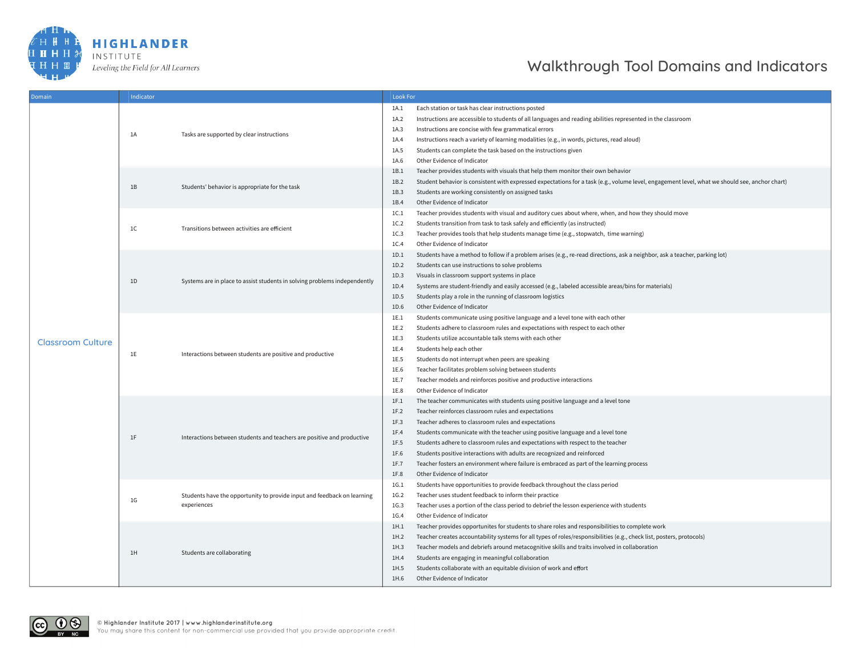

| Domain                   | Indicator      |                                                                                        |                                                              | <b>Look For</b>                                                                                                                                                                                                                                                                                                                                                                                                                                                                                                                                                           |  |  |
|--------------------------|----------------|----------------------------------------------------------------------------------------|--------------------------------------------------------------|---------------------------------------------------------------------------------------------------------------------------------------------------------------------------------------------------------------------------------------------------------------------------------------------------------------------------------------------------------------------------------------------------------------------------------------------------------------------------------------------------------------------------------------------------------------------------|--|--|
| <b>Classroom Culture</b> | 1A             | Tasks are supported by clear instructions                                              | 1A.1<br>1A.2<br>1A.3<br>1A.4<br>1A.5                         | Each station or task has clear instructions posted<br>Instructions are accessible to students of all languages and reading abilities represented in the classroom<br>Instructions are concise with few grammatical errors<br>Instructions reach a variety of learning modalities (e.g., in words, pictures, read aloud)<br>Students can complete the task based on the instructions given                                                                                                                                                                                 |  |  |
|                          | 1B             | Students' behavior is appropriate for the task                                         | 1A.6<br>1B.1<br>1B.2<br>1B.3<br>1B.4                         | Other Evidence of Indicator<br>Teacher provides students with visuals that help them monitor their own behavior<br>Student behavior is consistent with expressed expectations for a task (e.g., volume level, engagement level, what we should see, anchor chart)<br>Students are working consistently on assigned tasks<br>Other Evidence of Indicator                                                                                                                                                                                                                   |  |  |
|                          | 1 <sup>C</sup> | Transitions between activities are efficient                                           | 1C.1<br>1C.2<br>1C.3<br>1C.4                                 | Teacher provides students with visual and auditory cues about where, when, and how they should move<br>Students transition from task to task safely and efficiently (as instructed)<br>Teacher provides tools that help students manage time (e.g., stopwatch, time warning)<br>Other Evidence of Indicator                                                                                                                                                                                                                                                               |  |  |
|                          | 1D             | Systems are in place to assist students in solving problems independently              | 1D.1<br>1D.2<br>1D.3<br>1D.4<br>1D.5<br>1D.6                 | Students have a method to follow if a problem arises (e.g., re-read directions, ask a neighbor, ask a teacher, parking lot)<br>Students can use instructions to solve problems<br>Visuals in classroom support systems in place<br>Systems are student-friendly and easily accessed (e.g., labeled accessible areas/bins for materials)<br>Students play a role in the running of classroom logistics<br>Other Evidence of Indicator                                                                                                                                      |  |  |
|                          | 1E             | Interactions between students are positive and productive                              | 1E.1<br>1E.2<br>1E.3<br>1E.4<br>1E.5<br>1E.6<br>1E.7<br>1E.8 | Students communicate using positive language and a level tone with each other<br>Students adhere to classroom rules and expectations with respect to each other<br>Students utilize accountable talk stems with each other<br>Students help each other<br>Students do not interrupt when peers are speaking<br>Teacher facilitates problem solving between students<br>Teacher models and reinforces positive and productive interactions<br>Other Evidence of Indicator                                                                                                  |  |  |
|                          | 1F             | Interactions between students and teachers are positive and productive                 | 1F.1<br>1F.2<br>1F.3<br>1F.4<br>1F.5<br>1F.6<br>1F.7<br>1F.8 | The teacher communicates with students using positive language and a level tone<br>Teacher reinforces classroom rules and expectations<br>Teacher adheres to classroom rules and expectations<br>Students communicate with the teacher using positive language and a level tone<br>Students adhere to classroom rules and expectations with respect to the teacher<br>Students positive interactions with adults are recognized and reinforced<br>Teacher fosters an environment where failure is embraced as part of the learning process<br>Other Evidence of Indicator |  |  |
|                          | 1G             | Students have the opportunity to provide input and feedback on learning<br>experiences | 1G.1<br>1G.2<br>1G.3<br>1G.4                                 | Students have opportunities to provide feedback throughout the class period<br>Teacher uses student feedback to inform their practice<br>Teacher uses a portion of the class period to debrief the lesson experience with students<br>Other Evidence of Indicator                                                                                                                                                                                                                                                                                                         |  |  |
|                          | 1H             | Students are collaborating                                                             | 1H.1<br>1H.2<br>1H.3<br>1H.4<br>1H.5<br>1H.6                 | Teacher provides opportunites for students to share roles and responsibilities to complete work<br>Teacher creates accountability systems for all types of roles/responsibilities (e.g., check list, posters, protocols)<br>Teacher models and debriefs around metacognitive skills and traits involved in collaboration<br>Students are engaging in meaningful collaboration<br>Students collaborate with an equitable division of work and effort<br>Other Evidence of Indicator                                                                                        |  |  |

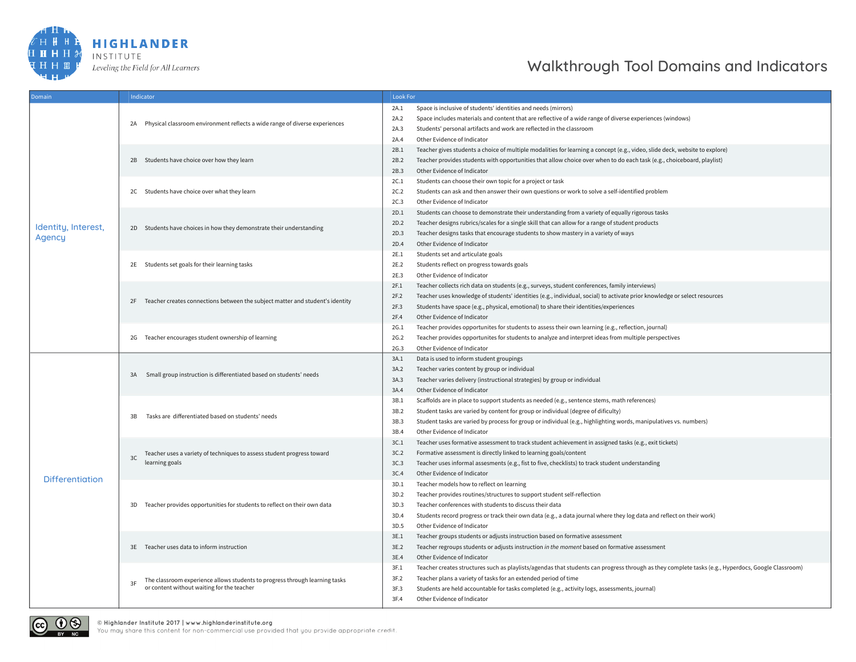

| Domain                 | Indicator                                                                         | <b>Look For</b>                                                                                                                                            |
|------------------------|-----------------------------------------------------------------------------------|------------------------------------------------------------------------------------------------------------------------------------------------------------|
|                        |                                                                                   | Space is inclusive of students' identities and needs (mirrors)<br>2A.1                                                                                     |
|                        |                                                                                   | Space includes materials and content that are reflective of a wide range of diverse experiences (windows)<br>2A.2                                          |
|                        | 2A Physical classroom environment reflects a wide range of diverse experiences    | Students' personal artifacts and work are reflected in the classroom<br>2A.3                                                                               |
|                        |                                                                                   | Other Evidence of Indicator<br>2A.4                                                                                                                        |
|                        |                                                                                   | Teacher gives students a choice of multiple modalities for learning a concept (e.g., video, slide deck, website to explore)<br>2B.1                        |
|                        | 2B Students have choice over how they learn                                       | Teacher provides students with opportunities that allow choice over when to do each task (e.g., choiceboard, playlist)<br>2B.2                             |
|                        |                                                                                   | Other Evidence of Indicator<br>2B.3                                                                                                                        |
|                        |                                                                                   | 2C.1<br>Students can choose their own topic for a project or task                                                                                          |
|                        | 2C Students have choice over what they learn                                      | Students can ask and then answer their own questions or work to solve a self-identified problem<br>2C.2                                                    |
|                        |                                                                                   | 2C.3<br>Other Evidence of Indicator                                                                                                                        |
|                        |                                                                                   | 2D.1<br>Students can choose to demonstrate their understanding from a variety of equally rigorous tasks                                                    |
|                        |                                                                                   | 2D.2<br>Teacher designs rubrics/scales for a single skill that can allow for a range of student products                                                   |
| Identity, Interest,    | 2D Students have choices in how they demonstrate their understanding              | Teacher designs tasks that encourage students to show mastery in a variety of ways<br>2D.3                                                                 |
| Agency                 |                                                                                   | Other Evidence of Indicator<br>2D.4                                                                                                                        |
|                        |                                                                                   | Students set and articulate goals<br>2E.1                                                                                                                  |
|                        | 2E Students set goals for their learning tasks                                    | 2E.2<br>Students reflect on progress towards goals                                                                                                         |
|                        |                                                                                   | Other Evidence of Indicator<br>2E.3                                                                                                                        |
|                        |                                                                                   | Teacher collects rich data on students (e.g., surveys, student conferences, family interviews)<br>2F.1                                                     |
|                        |                                                                                   | Teacher uses knowledge of students' identities (e.g., individual, social) to activate prior knowledge or select resources<br>2F.2                          |
|                        | 2F Teacher creates connections between the subject matter and student's identity  | Students have space (e.g., physical, emotional) to share their identities/experiences<br>2F.3                                                              |
|                        |                                                                                   | Other Evidence of Indicator<br>2F.4                                                                                                                        |
|                        |                                                                                   | 2G.1<br>Teacher provides opportunites for students to assess their own learning (e.g., reflection, journal)                                                |
|                        | 2G Teacher encourages student ownership of learning                               | Teacher provides opportunites for students to analyze and interpret ideas from multiple perspectives<br>2G.2                                               |
|                        |                                                                                   | Other Evidence of Indicator<br>2G.3                                                                                                                        |
|                        | Small group instruction is differentiated based on students' needs<br>3A          | Data is used to inform student groupings<br>3A.1                                                                                                           |
|                        |                                                                                   | Teacher varies content by group or individual<br>3A.2                                                                                                      |
|                        |                                                                                   | Teacher varies delivery (instructional strategies) by group or individual<br>3A.3                                                                          |
|                        |                                                                                   | Other Evidence of Indicator<br>3A.4                                                                                                                        |
|                        |                                                                                   | Scaffolds are in place to support students as needed (e.g., sentence stems, math references)<br>3B.1                                                       |
|                        |                                                                                   | Student tasks are varied by content for group or individual (degree of dificulty)<br>3B.2                                                                  |
|                        | Tasks are differentiated based on students' needs<br>3B                           | 3B.3<br>Student tasks are varied by process for group or individual (e.g., highlighting words, manipulatives vs. numbers)                                  |
|                        |                                                                                   | Other Evidence of Indicator<br>3B.4                                                                                                                        |
|                        |                                                                                   | Teacher uses formative assessment to track student achievement in assigned tasks (e.g., exit tickets)<br>3C.1                                              |
|                        | Teacher uses a variety of techniques to assess student progress toward            | 3C.2<br>Formative assessment is directly linked to learning goals/content                                                                                  |
|                        | 3C<br>learning goals                                                              | Teacher uses informal assesments (e.g., fist to five, checklists) to track student understanding<br>3C.3                                                   |
|                        |                                                                                   | 3C.4<br>Other Evidence of Indicator                                                                                                                        |
| <b>Differentiation</b> |                                                                                   | 3D.1<br>Teacher models how to reflect on learning                                                                                                          |
|                        |                                                                                   | Teacher provides routines/structures to support student self-reflection<br>3D.2                                                                            |
|                        | 3D Teacher provides opportunities for students to reflect on their own data       | 3D.3<br>Teacher conferences with students to discuss their data                                                                                            |
|                        |                                                                                   | 3D.4<br>Students record progress or track their own data (e.g., a data journal where they log data and reflect on their work)                              |
|                        |                                                                                   | 3D.5<br>Other Evidence of Indicator                                                                                                                        |
|                        |                                                                                   | Teacher groups students or adjusts instruction based on formative assessment<br>3E.1                                                                       |
|                        | 3E Teacher uses data to inform instruction                                        | 3E.2<br>Teacher regroups students or adjusts instruction in the moment based on formative assessment                                                       |
|                        |                                                                                   | Other Evidence of Indicator<br>3E.4                                                                                                                        |
|                        |                                                                                   | 3F.1<br>Teacher creates structures such as playlists/agendas that students can progress through as they complete tasks (e.g., Hyperdocs, Google Classroom) |
|                        | The classroom experience allows students to progress through learning tasks<br>3F | Teacher plans a variety of tasks for an extended period of time<br>3F.2                                                                                    |
|                        | or content without waiting for the teacher                                        | 3F.3<br>Students are held accountable for tasks completed (e.g., activity logs, assessments, journal)                                                      |
|                        |                                                                                   | Other Evidence of Indicator<br>3F.4                                                                                                                        |



You may share this content for non-commercial use provided that you provide appropriate credit.